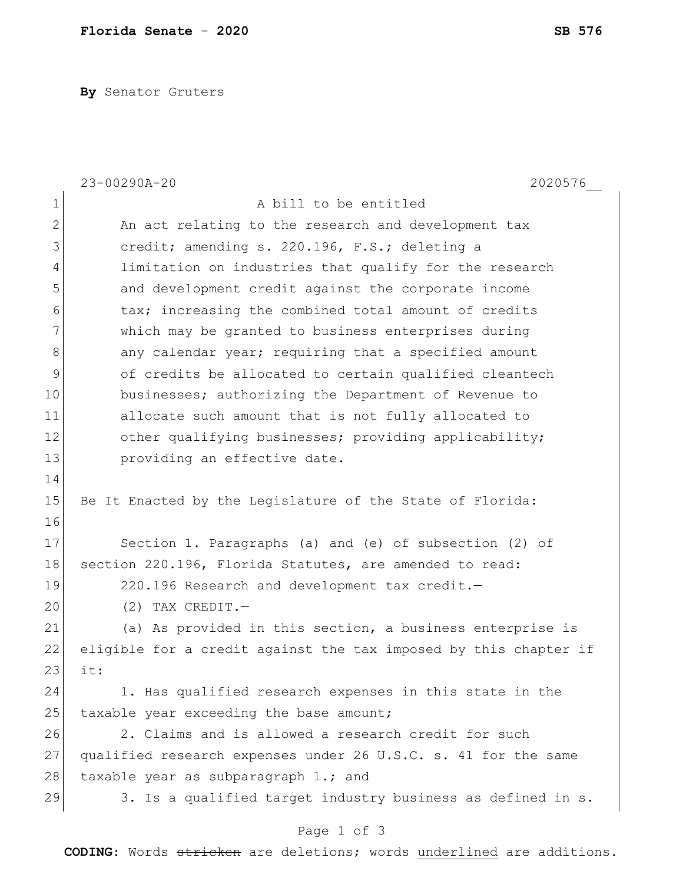**By** Senator Gruters

|              | 23-00290A-20<br>2020576                                          |  |  |  |  |  |  |  |  |  |
|--------------|------------------------------------------------------------------|--|--|--|--|--|--|--|--|--|
| $\mathbf 1$  | A bill to be entitled                                            |  |  |  |  |  |  |  |  |  |
| $\mathbf{2}$ | An act relating to the research and development tax              |  |  |  |  |  |  |  |  |  |
| 3            | credit; amending s. 220.196, F.S.; deleting a                    |  |  |  |  |  |  |  |  |  |
| 4            | limitation on industries that qualify for the research           |  |  |  |  |  |  |  |  |  |
| 5            | and development credit against the corporate income              |  |  |  |  |  |  |  |  |  |
| 6            | tax; increasing the combined total amount of credits             |  |  |  |  |  |  |  |  |  |
| 7            | which may be granted to business enterprises during              |  |  |  |  |  |  |  |  |  |
| $\,8\,$      | any calendar year; requiring that a specified amount             |  |  |  |  |  |  |  |  |  |
| 9            | of credits be allocated to certain qualified cleantech           |  |  |  |  |  |  |  |  |  |
| 10           | businesses; authorizing the Department of Revenue to             |  |  |  |  |  |  |  |  |  |
| 11           | allocate such amount that is not fully allocated to              |  |  |  |  |  |  |  |  |  |
| 12           | other qualifying businesses; providing applicability;            |  |  |  |  |  |  |  |  |  |
| 13           | providing an effective date.                                     |  |  |  |  |  |  |  |  |  |
| 14           |                                                                  |  |  |  |  |  |  |  |  |  |
| 15           | Be It Enacted by the Legislature of the State of Florida:        |  |  |  |  |  |  |  |  |  |
| 16           |                                                                  |  |  |  |  |  |  |  |  |  |
| 17           | Section 1. Paragraphs (a) and (e) of subsection (2) of           |  |  |  |  |  |  |  |  |  |
| 18           | section 220.196, Florida Statutes, are amended to read:          |  |  |  |  |  |  |  |  |  |
| 19           | 220.196 Research and development tax credit.-                    |  |  |  |  |  |  |  |  |  |
| 20           | $(2)$ TAX CREDIT. -                                              |  |  |  |  |  |  |  |  |  |
| 21           | (a) As provided in this section, a business enterprise is        |  |  |  |  |  |  |  |  |  |
| 22           | eligible for a credit against the tax imposed by this chapter if |  |  |  |  |  |  |  |  |  |
| 23           | it:                                                              |  |  |  |  |  |  |  |  |  |
| 24           | 1. Has qualified research expenses in this state in the          |  |  |  |  |  |  |  |  |  |
| 25           | taxable year exceeding the base amount;                          |  |  |  |  |  |  |  |  |  |
| 26           | 2. Claims and is allowed a research credit for such              |  |  |  |  |  |  |  |  |  |
| 27           | qualified research expenses under 26 U.S.C. s. 41 for the same   |  |  |  |  |  |  |  |  |  |
| 28           | taxable year as subparagraph 1.; and                             |  |  |  |  |  |  |  |  |  |
| 29           | 3. Is a qualified target industry business as defined in s.      |  |  |  |  |  |  |  |  |  |
|              | Page 1 of 3                                                      |  |  |  |  |  |  |  |  |  |

**CODING**: Words stricken are deletions; words underlined are additions.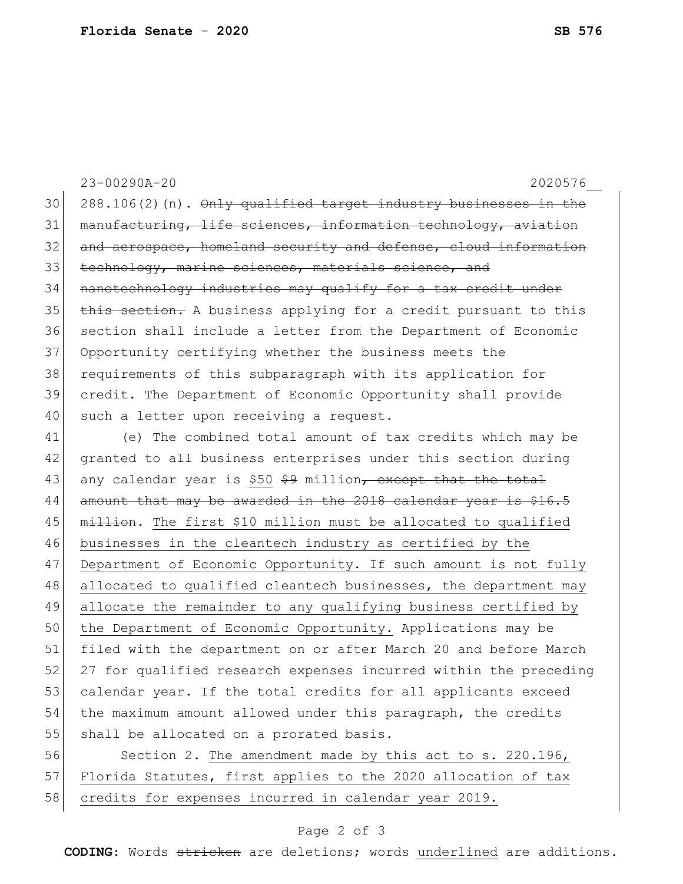23-00290A-20 2020576\_\_  $30$  288.106(2)(n).  $\Theta$ nly qualified target industry businesses in the  $31$  manufacturing, life sciences, information technology, aviation 32 and aerospace, homeland security and defense, cloud information 33 technology, marine sciences, materials science, and 34 nanotechnology industries may qualify for a tax credit under  $35$  this section. A business applying for a credit pursuant to this 36 section shall include a letter from the Department of Economic 37 Opportunity certifying whether the business meets the 38 requirements of this subparagraph with its application for 39 credit. The Department of Economic Opportunity shall provide 40 such a letter upon receiving a request. 41 (e) The combined total amount of tax credits which may be 42 granted to all business enterprises under this section during 43 any calendar year is \$50 \$9 million<del>, except that the total</del> 44 amount that may be awarded in the 2018 calendar year is \$16.5 45 million. The first \$10 million must be allocated to qualified 46 businesses in the cleantech industry as certified by the 47 Department of Economic Opportunity. If such amount is not fully 48 allocated to qualified cleantech businesses, the department may 49 allocate the remainder to any qualifying business certified by 50 the Department of Economic Opportunity. Applications may be 51 filed with the department on or after March 20 and before March 52 27 for qualified research expenses incurred within the preceding 53 calendar year. If the total credits for all applicants exceed

54 the maximum amount allowed under this paragraph, the credits 55 shall be allocated on a prorated basis.

56 Section 2. The amendment made by this act to s. 220.196, 57 Florida Statutes, first applies to the 2020 allocation of tax 58 credits for expenses incurred in calendar year 2019.

## Page 2 of 3

**CODING**: Words stricken are deletions; words underlined are additions.